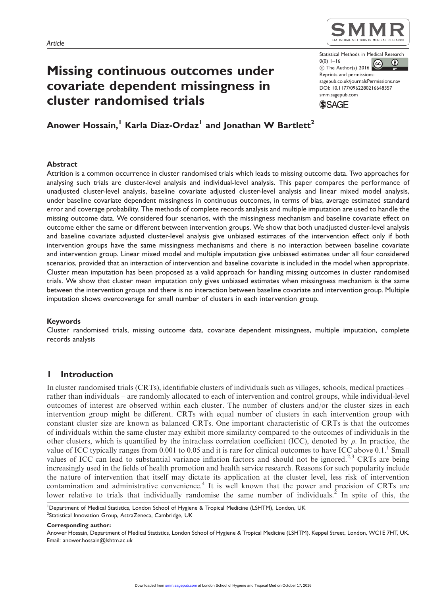

# Missing continuous outcomes under covariate dependent missingness in cluster randomised trials

Statistical Methods in Medical Research  $0(0)$  1–16  $\bigcirc$  $\left(\mathrm{cc}\right)$ C The Author(s) 2016 Reprints and permissions: sagepub.co.uk/journalsPermissions.nav DOI: 10.1177/0962280216648357 smm.sagepub.com **SSAGE** 

Anower Hossain,<sup>1</sup> Karla Diaz-Ordaz<sup>1</sup> and Jonathan W Bartlett<sup>2</sup>

#### Abstract

Attrition is a common occurrence in cluster randomised trials which leads to missing outcome data. Two approaches for analysing such trials are cluster-level analysis and individual-level analysis. This paper compares the performance of unadjusted cluster-level analysis, baseline covariate adjusted cluster-level analysis and linear mixed model analysis, under baseline covariate dependent missingness in continuous outcomes, in terms of bias, average estimated standard error and coverage probability. The methods of complete records analysis and multiple imputation are used to handle the missing outcome data. We considered four scenarios, with the missingness mechanism and baseline covariate effect on outcome either the same or different between intervention groups. We show that both unadjusted cluster-level analysis and baseline covariate adjusted cluster-level analysis give unbiased estimates of the intervention effect only if both intervention groups have the same missingness mechanisms and there is no interaction between baseline covariate and intervention group. Linear mixed model and multiple imputation give unbiased estimates under all four considered scenarios, provided that an interaction of intervention and baseline covariate is included in the model when appropriate. Cluster mean imputation has been proposed as a valid approach for handling missing outcomes in cluster randomised trials. We show that cluster mean imputation only gives unbiased estimates when missingness mechanism is the same between the intervention groups and there is no interaction between baseline covariate and intervention group. Multiple imputation shows overcoverage for small number of clusters in each intervention group.

#### Keywords

Cluster randomised trials, missing outcome data, covariate dependent missingness, multiple imputation, complete records analysis

## 1 Introduction

In cluster randomised trials (CRTs), identifiable clusters of individuals such as villages, schools, medical practices – rather than individuals – are randomly allocated to each of intervention and control groups, while individual-level outcomes of interest are observed within each cluster. The number of clusters and/or the cluster sizes in each intervention group might be different. CRTs with equal number of clusters in each intervention group with constant cluster size are known as balanced CRTs. One important characteristic of CRTs is that the outcomes of individuals within the same cluster may exhibit more similarity compared to the outcomes of individuals in the other clusters, which is quantified by the intraclass correlation coefficient (ICC), denoted by  $\rho$ . In practice, the value of ICC typically ranges from  $0.001$  to  $0.05$  and it is rare for clinical outcomes to have ICC above  $0.1$ .<sup>1</sup> Small values of ICC can lead to substantial variance inflation factors and should not be ignored.<sup>2,3</sup> CRTs are being increasingly used in the fields of health promotion and health service research. Reasons for such popularity include the nature of intervention that itself may dictate its application at the cluster level, less risk of intervention contamination and administrative convenience.<sup>4</sup> It is well known that the power and precision of CRTs are lower relative to trials that individually randomise the same number of individuals.<sup>2</sup> In spite of this, the

<sup>1</sup>Department of Medical Statistics, London School of Hygiene & Tropical Medicine (LSHTM), London, UK <sup>2</sup>Statistical Innovation Group, AstraZeneca, Cambridge, UK

#### Corresponding author:

Anower Hossain, Department of Medical Statistics, London School of Hygiene & Tropical Medicine (LSHTM), Keppel Street, London, WC1E 7HT, UK. Email: anower.hossain@lshtm.ac.uk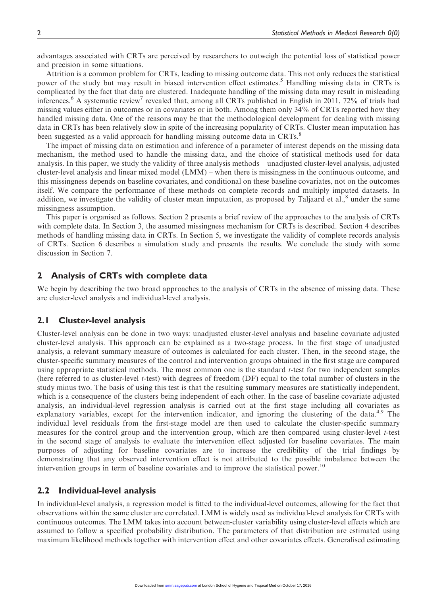advantages associated with CRTs are perceived by researchers to outweigh the potential loss of statistical power and precision in some situations.

Attrition is a common problem for CRTs, leading to missing outcome data. This not only reduces the statistical power of the study but may result in biased intervention effect estimates.<sup>5</sup> Handling missing data in CRTs is complicated by the fact that data are clustered. Inadequate handling of the missing data may result in misleading inferences.<sup>6</sup> A systematic review<sup>7</sup> revealed that, among all CRTs published in English in 2011, 72% of trials had missing values either in outcomes or in covariates or in both. Among them only 34% of CRTs reported how they handled missing data. One of the reasons may be that the methodological development for dealing with missing data in CRTs has been relatively slow in spite of the increasing popularity of CRTs. Cluster mean imputation has been suggested as a valid approach for handling missing outcome data in CRTs.<sup>8</sup>

The impact of missing data on estimation and inference of a parameter of interest depends on the missing data mechanism, the method used to handle the missing data, and the choice of statistical methods used for data analysis. In this paper, we study the validity of three analysis methods – unadjusted cluster-level analysis, adjusted cluster-level analysis and linear mixed model (LMM) – when there is missingness in the continuous outcome, and this missingness depends on baseline covariates, and conditional on these baseline covariates, not on the outcomes itself. We compare the performance of these methods on complete records and multiply imputed datasets. In addition, we investigate the validity of cluster mean imputation, as proposed by Taljaard et al., $\frac{8}{3}$  under the same missingness assumption.

This paper is organised as follows. Section 2 presents a brief review of the approaches to the analysis of CRTs with complete data. In Section 3, the assumed missingness mechanism for CRTs is described. Section 4 describes methods of handling missing data in CRTs. In Section 5, we investigate the validity of complete records analysis of CRTs. Section 6 describes a simulation study and presents the results. We conclude the study with some discussion in Section 7.

## 2 Analysis of CRTs with complete data

We begin by describing the two broad approaches to the analysis of CRTs in the absence of missing data. These are cluster-level analysis and individual-level analysis.

## 2.1 Cluster-level analysis

Cluster-level analysis can be done in two ways: unadjusted cluster-level analysis and baseline covariate adjusted cluster-level analysis. This approach can be explained as a two-stage process. In the first stage of unadjusted analysis, a relevant summary measure of outcomes is calculated for each cluster. Then, in the second stage, the cluster-specific summary measures of the control and intervention groups obtained in the first stage are compared using appropriate statistical methods. The most common one is the standard t-test for two independent samples (here referred to as cluster-level t-test) with degrees of freedom (DF) equal to the total number of clusters in the study minus two. The basis of using this test is that the resulting summary measures are statistically independent, which is a consequence of the clusters being independent of each other. In the case of baseline covariate adjusted analysis, an individual-level regression analysis is carried out at the first stage including all covariates as explanatory variables, except for the intervention indicator, and ignoring the clustering of the data.<sup>4,9</sup> The individual level residuals from the first-stage model are then used to calculate the cluster-specific summary measures for the control group and the intervention group, which are then compared using cluster-level t-test in the second stage of analysis to evaluate the intervention effect adjusted for baseline covariates. The main purposes of adjusting for baseline covariates are to increase the credibility of the trial findings by demonstrating that any observed intervention effect is not attributed to the possible imbalance between the intervention groups in term of baseline covariates and to improve the statistical power.<sup>10</sup>

#### 2.2 Individual-level analysis

In individual-level analysis, a regression model is fitted to the individual-level outcomes, allowing for the fact that observations within the same cluster are correlated. LMM is widely used as individual-level analysis for CRTs with continuous outcomes. The LMM takes into account between-cluster variability using cluster-level effects which are assumed to follow a specified probability distribution. The parameters of that distribution are estimated using maximum likelihood methods together with intervention effect and other covariates effects. Generalised estimating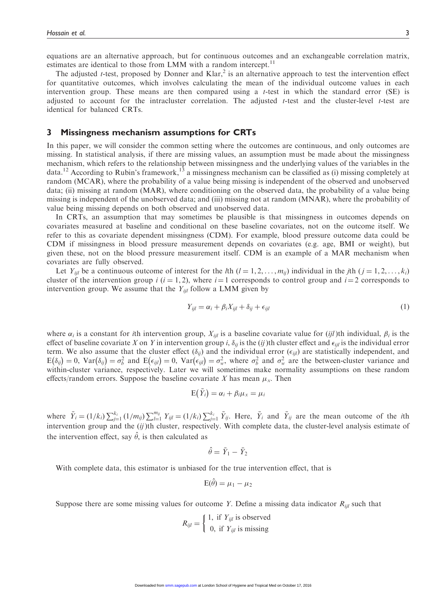equations are an alternative approach, but for continuous outcomes and an exchangeable correlation matrix, estimates are identical to those from LMM with a random intercept.<sup>11</sup>

The adjusted *t*-test, proposed by Donner and Klar,<sup>2</sup> is an alternative approach to test the intervention effect for quantitative outcomes, which involves calculating the mean of the individual outcome values in each intervention group. These means are then compared using a *t*-test in which the standard error (SE) is adjusted to account for the intracluster correlation. The adjusted  $t$ -test and the cluster-level  $t$ -test are identical for balanced CRTs.

## 3 Missingness mechanism assumptions for CRTs

In this paper, we will consider the common setting where the outcomes are continuous, and only outcomes are missing. In statistical analysis, if there are missing values, an assumption must be made about the missingness mechanism, which refers to the relationship between missingness and the underlying values of the variables in the data.<sup>12</sup> According to Rubin's framework,<sup>13</sup> a missingness mechanism can be classified as (i) missing completely at random (MCAR), where the probability of a value being missing is independent of the observed and unobserved data; (ii) missing at random (MAR), where conditioning on the observed data, the probability of a value being missing is independent of the unobserved data; and (iii) missing not at random (MNAR), where the probability of value being missing depends on both observed and unobserved data.

In CRTs, an assumption that may sometimes be plausible is that missingness in outcomes depends on covariates measured at baseline and conditional on these baseline covariates, not on the outcome itself. We refer to this as covariate dependent missingness (CDM). For example, blood pressure outcome data could be CDM if missingness in blood pressure measurement depends on covariates (e.g. age, BMI or weight), but given these, not on the blood pressure measurement itself. CDM is an example of a MAR mechanism when covariates are fully observed.

Let  $Y_{ijl}$  be a continuous outcome of interest for the *l*th  $(l = 1, 2, ..., m_{ij})$  individual in the *j*th  $(j = 1, 2, ..., k_i)$ cluster of the intervention group i  $(i = 1, 2)$ , where  $i = 1$  corresponds to control group and  $i = 2$  corresponds to intervention group. We assume that the  $Y_{ijl}$  follow a LMM given by

$$
Y_{ijl} = \alpha_i + \beta_i X_{ijl} + \delta_{ij} + \epsilon_{ijl} \tag{1}
$$

where  $\alpha_i$  is a constant for *i*th intervention group,  $X_{iil}$  is a baseline covariate value for (*ijl*)th individual,  $\beta_i$  is the effect of baseline covariate X on Y in intervention group i,  $\delta_{ij}$  is the  $(ij)$ th cluster effect and  $\epsilon_{ijl}$  is the individual error term. We also assume that the cluster effect  $(\delta_{ij})$  and the individual error  $(\epsilon_{ijl})$  are statistically independent, and  $E(\delta_{ij}) = 0$ ,  $Var(\delta_{ij}) = \sigma_b^2$  and  $E(\epsilon_{ijl}) = 0$ ,  $Var(\epsilon_{ijl}) = \sigma_w^2$ , where  $\sigma_b^2$  and  $\sigma_w^2$  are the between-cluster variance and within-cluster variance, respectively. Later we will sometimes make normality assumptions on these random effects/random errors. Suppose the baseline covariate X has mean  $\mu_x$ . Then

$$
E(\bar{Y}_i) = \alpha_i + \beta_i \mu_x = \mu_i
$$

where  $\bar{Y}_i = (1/k_i) \sum_{j=1}^{k_i} (1/m_{ij}) \sum_{l=1}^{m_{ij}} Y_{ijl} = (1/k_i) \sum_{j=1}^{k_i} \bar{Y}_{ij}$ . Here,  $\bar{Y}_i$  and  $\bar{Y}_{ij}$  are the mean outcome of the *i*th intervention group and the  $(ij)$ th cluster, respectively. With complete data, the cluster-level analysis estimate of the intervention effect, say  $\hat{\theta}$ , is then calculated as

$$
\hat{\theta} = \bar{Y}_1 - \bar{Y}_2
$$

With complete data, this estimator is unbiased for the true intervention effect, that is

$$
E(\hat{\theta}) = \mu_1 - \mu_2
$$

Suppose there are some missing values for outcome Y. Define a missing data indicator  $R_{ijl}$  such that

$$
R_{ijl} = \begin{cases} 1, & \text{if } Y_{ijl} \text{ is observed} \\ 0, & \text{if } Y_{ijl} \text{ is missing} \end{cases}
$$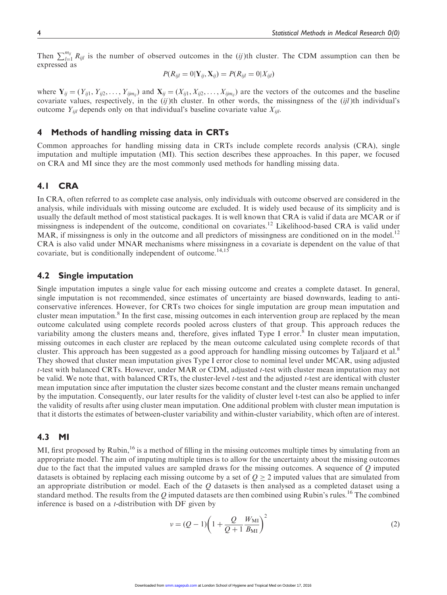Then  $\sum_{l=1}^{m_{ij}} R_{ijl}$  is the number of observed outcomes in the  $(ij)$ th cluster. The CDM assumption can then be expressed as

$$
P(R_{ijl}=0|\mathbf{Y}_{ij},\mathbf{X}_{ij})=P(R_{ijl}=0|X_{ijl})
$$

where  $Y_{ij} = (Y_{ij1}, Y_{ij2}, \ldots, Y_{ijm_{ij}})$  and  $X_{ij} = (X_{ij1}, X_{ij2}, \ldots, X_{ijm_{ij}})$  are the vectors of the outcomes and the baseline covariate values, respectively, in the  $(ij)$ th cluster. In other words, the missingness of the  $(ij)$ th individual's outcome  $Y_{iii}$  depends only on that individual's baseline covariate value  $X_{iil}$ .

## 4 Methods of handling missing data in CRTs

Common approaches for handling missing data in CRTs include complete records analysis (CRA), single imputation and multiple imputation (MI). This section describes these approaches. In this paper, we focused on CRA and MI since they are the most commonly used methods for handling missing data.

## 4.1 CRA

In CRA, often referred to as complete case analysis, only individuals with outcome observed are considered in the analysis, while individuals with missing outcome are excluded. It is widely used because of its simplicity and is usually the default method of most statistical packages. It is well known that CRA is valid if data are MCAR or if missingness is independent of the outcome, conditional on covariates.<sup>12</sup> Likelihood-based CRA is valid under MAR, if missingness is only in the outcome and all predictors of missingness are conditioned on in the model.<sup>12</sup> CRA is also valid under MNAR mechanisms where missingness in a covariate is dependent on the value of that covariate, but is conditionally independent of outcome.<sup>14,15</sup>

## 4.2 Single imputation

Single imputation imputes a single value for each missing outcome and creates a complete dataset. In general, single imputation is not recommended, since estimates of uncertainty are biased downwards, leading to anticonservative inferences. However, for CRTs two choices for single imputation are group mean imputation and cluster mean imputation.<sup>8</sup> In the first case, missing outcomes in each intervention group are replaced by the mean outcome calculated using complete records pooled across clusters of that group. This approach reduces the variability among the clusters means and, therefore, gives inflated Type I error.<sup>8</sup> In cluster mean imputation, missing outcomes in each cluster are replaced by the mean outcome calculated using complete records of that cluster. This approach has been suggested as a good approach for handling missing outcomes by Taljaard et al.<sup>8</sup> They showed that cluster mean imputation gives Type I error close to nominal level under MCAR, using adjusted t-test with balanced CRTs. However, under MAR or CDM, adjusted t-test with cluster mean imputation may not be valid. We note that, with balanced CRTs, the cluster-level  $t$ -test and the adjusted  $t$ -test are identical with cluster mean imputation since after imputation the cluster sizes become constant and the cluster means remain unchanged by the imputation. Consequently, our later results for the validity of cluster level t-test can also be applied to infer the validity of results after using cluster mean imputation. One additional problem with cluster mean imputation is that it distorts the estimates of between-cluster variability and within-cluster variability, which often are of interest.

## 4.3 MI

MI, first proposed by Rubin,<sup>16</sup> is a method of filling in the missing outcomes multiple times by simulating from an appropriate model. The aim of imputing multiple times is to allow for the uncertainty about the missing outcomes due to the fact that the imputed values are sampled draws for the missing outcomes. A sequence of  $Q$  imputed datasets is obtained by replacing each missing outcome by a set of  $Q \ge 2$  imputed values that are simulated from an appropriate distribution or model. Each of the  $Q$  datasets is then analysed as a completed dataset using a standard method. The results from the Q imputed datasets are then combined using Rubin's rules.<sup>16</sup> The combined inference is based on a t-distribution with DF given by

$$
v = (Q - 1)\left(1 + \frac{Q}{Q + 1}\frac{W_{\rm MI}}{B_{\rm MI}}\right)^2
$$
 (2)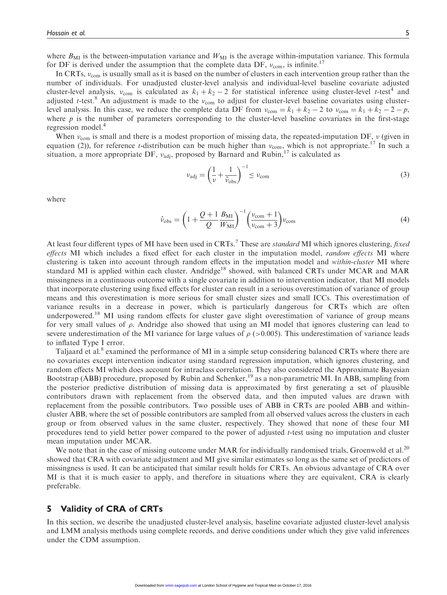where  $B_{\text{MI}}$  is the between-imputation variance and  $W_{\text{MI}}$  is the average within-imputation variance. This formula for DF is derived under the assumption that the complete data DF,  $v_{\text{com}}$ , is infinite.<sup>17</sup>

In CRTs,  $v_{\rm com}$  is usually small as it is based on the number of clusters in each intervention group rather than the number of individuals. For unadjusted cluster-level analysis and individual-level baseline covariate adjusted cluster-level analysis,  $v_{com}$  is calculated as  $k_1 + k_2 - 2$  for statistical inference using cluster-level *t*-test<sup>4</sup> and adjusted *t*-test.<sup>8</sup> An adjustment is made to the  $v_{com}$  to adjust for cluster-level baseline covariates using clusterlevel analysis. In this case, we reduce the complete data DF from  $v_{\text{com}} = k_1 + k_2 - 2$  to  $v_{\text{com}} = k_1 + k_2 - 2 - p$ , where  $p$  is the number of parameters corresponding to the cluster-level baseline covariates in the first-stage regression model.<sup>4</sup>

When  $v_{\rm com}$  is small and there is a modest proportion of missing data, the repeated-imputation DF,  $v$  (given in equation (2)), for reference *t*-distribution can be much higher than  $v_{com}$ , which is not appropriate.<sup>17</sup> In such a situation, a more appropriate DF,  $v_{\text{adj}}$ , proposed by Barnard and Rubin,<sup>17</sup> is calculated as

$$
\nu_{\text{adj}} = \left(\frac{1}{\nu} + \frac{1}{\hat{\nu}_{\text{obs}}}\right)^{-1} \leq \nu_{\text{com}} \tag{3}
$$

where

$$
\hat{\nu}_{\rm obs} = \left(1 + \frac{Q + 1}{Q} \frac{B_{\rm MI}}{W_{\rm MI}}\right)^{-1} \left(\frac{\nu_{\rm com} + 1}{\nu_{\rm com} + 3}\right) \nu_{\rm com} \tag{4}
$$

At least four different types of MI have been used in CRTs.<sup>7</sup> These are *standard* MI which ignores clustering, *fixed* effects MI which includes a fixed effect for each cluster in the imputation model, random effects MI where clustering is taken into account through random effects in the imputation model and within-cluster MI where standard MI is applied within each cluster. Andridge<sup>18</sup> showed, with balanced CRTs under MCAR and MAR missingness in a continuous outcome with a single covariate in addition to intervention indicator, that MI models that incorporate clustering using fixed effects for cluster can result in a serious overestimation of variance of group means and this overestimation is more serious for small cluster sizes and small ICCs. This overestimation of variance results in a decrease in power, which is particularly dangerous for CRTs which are often underpowered.<sup>18</sup> MI using random effects for cluster gave slight overestimation of variance of group means for very small values of  $\rho$ . Andridge also showed that using an MI model that ignores clustering can lead to severe underestimation of the MI variance for large values of  $\rho$  (>0.005). This underestimation of variance leads to inflated Type I error.

Taljaard et al.<sup>8</sup> examined the performance of MI in a simple setup considering balanced CRTs where there are no covariates except intervention indicator using standard regression imputation, which ignores clustering, and random effects MI which does account for intraclass correlation. They also considered the Approximate Bayesian Bootstrap (ABB) procedure, proposed by Rubin and Schenker,<sup>19</sup> as a non-parametric MI. In ABB, sampling from the posterior predictive distribution of missing data is approximated by first generating a set of plausible contributors drawn with replacement from the observed data, and then imputed values are drawn with replacement from the possible contributors. Two possible uses of ABB in CRTs are pooled ABB and withincluster ABB, where the set of possible contributors are sampled from all observed values across the clusters in each group or from observed values in the same cluster, respectively. They showed that none of these four MI procedures tend to yield better power compared to the power of adjusted t-test using no imputation and cluster mean imputation under MCAR.

We note that in the case of missing outcome under MAR for individually randomised trials, Groenwold et al.<sup>20</sup> showed that CRA with covariate adjustment and MI give similar estimates so long as the same set of predictors of missingness is used. It can be anticipated that similar result holds for CRTs. An obvious advantage of CRA over MI is that it is much easier to apply, and therefore in situations where they are equivalent, CRA is clearly preferable.

#### 5 Validity of CRA of CRTs

In this section, we describe the unadjusted cluster-level analysis, baseline covariate adjusted cluster-level analysis and LMM analysis methods using complete records, and derive conditions under which they give valid inferences under the CDM assumption.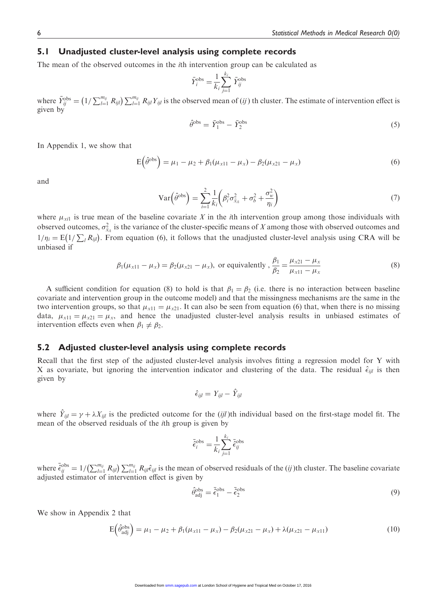#### 5.1 Unadjusted cluster-level analysis using complete records

The mean of the observed outcomes in the ith intervention group can be calculated as

$$
\bar{Y}_i^{\text{obs}} = \frac{1}{k_i} \sum_{j=1}^{k_i} \bar{Y}_{ij}^{\text{obs}}
$$

where  $\bar{Y}_{ij}^{\text{obs}} = (1/\sum_{l=1}^{m_{ij}} R_{ijl}) \sum_{l=1}^{m_{ij}} R_{ijl} Y_{ijl}$  is the observed mean of  $(ij)$  th cluster. The estimate of intervention effect is given by

$$
\hat{\theta}^{\text{obs}} = \bar{Y}_1^{\text{obs}} - \bar{Y}_2^{\text{obs}} \tag{5}
$$

In Appendix 1, we show that

$$
E(\hat{\theta}^{\text{obs}}) = \mu_1 - \mu_2 + \beta_1(\mu_{x11} - \mu_x) - \beta_2(\mu_{x21} - \mu_x)
$$
(6)

and

$$
Var\left(\hat{\theta}^{obs}\right) = \sum_{i=1}^{2} \frac{1}{k_i} \left(\beta_i^2 \sigma_{\bar{x}_{i1}}^2 + \sigma_b^2 + \frac{\sigma_w^2}{\eta_i}\right)
$$
(7)

where  $\mu_{xil}$  is true mean of the baseline covariate X in the *i*th intervention group among those individuals with observed outcomes,  $\sigma_{\bar{x}_i}^2$  is the variance of the cluster-specific means of X among those with observed outcomes and  $1/\eta_i = E(1/\sum_l R_{ijl})$ . From equation (6), it follows that the unadjusted cluster-level analysis using CRA will be unbiased if

$$
\beta_1(\mu_{x11} - \mu_x) = \beta_2(\mu_{x21} - \mu_x), \text{ or equivalently, } \frac{\beta_1}{\beta_2} = \frac{\mu_{x21} - \mu_x}{\mu_{x11} - \mu_x}
$$
(8)

A sufficient condition for equation (8) to hold is that  $\beta_1 = \beta_2$  (i.e. there is no interaction between baseline covariate and intervention group in the outcome model) and that the missingness mechanisms are the same in the two intervention groups, so that  $\mu_{x11} = \mu_{x21}$ . It can also be seen from equation (6) that, when there is no missing data,  $\mu_{x11} = \mu_{x21} = \mu_x$ , and hence the unadjusted cluster-level analysis results in unbiased estimates of intervention effects even when  $\beta_1 \neq \beta_2$ .

#### 5.2 Adjusted cluster-level analysis using complete records

Recall that the first step of the adjusted cluster-level analysis involves fitting a regression model for Y with X as covariate, but ignoring the intervention indicator and clustering of the data. The residual  $\hat{\epsilon}_{ii}$  is then given by

$$
\hat{\epsilon}_{ijl} = Y_{ijl} - \hat{Y}_{ijl}
$$

where  $Y_{ijl} = \gamma + \lambda X_{ijl}$  is the predicted outcome for the  $(ijl)$ th individual based on the first-stage model fit. The mean of the observed residuals of the ith group is given by

$$
\bar{\hat{\epsilon}}_{i}^{\text{obs}} = \frac{1}{k_i} \sum_{j=1}^{k_i} \bar{\hat{\epsilon}}_{ij}^{\text{obs}}
$$

where  $\bar{\hat{\epsilon}}_{ij}^{\text{obs}} = 1/(\sum_{l=1}^{m_{ij}} R_{ijl}) \sum_{l=1}^{m_{ij}} R_{ijl} \hat{\epsilon}_{ijl}$  is the mean of observed residuals of the  $(ij)$ th cluster. The baseline covariate adjusted estimator of intervention effect is given by

$$
\hat{\theta}_{\text{adj}}^{\text{obs}} = \bar{\hat{\epsilon}}_1^{\text{obs}} - \bar{\hat{\epsilon}}_2^{\text{obs}} \tag{9}
$$

We show in Appendix 2 that

$$
E(\hat{\theta}_{\text{adj}}^{\text{obs}}) = \mu_1 - \mu_2 + \beta_1(\mu_{x11} - \mu_x) - \beta_2(\mu_{x21} - \mu_x) + \lambda(\mu_{x21} - \mu_{x11})
$$
(10)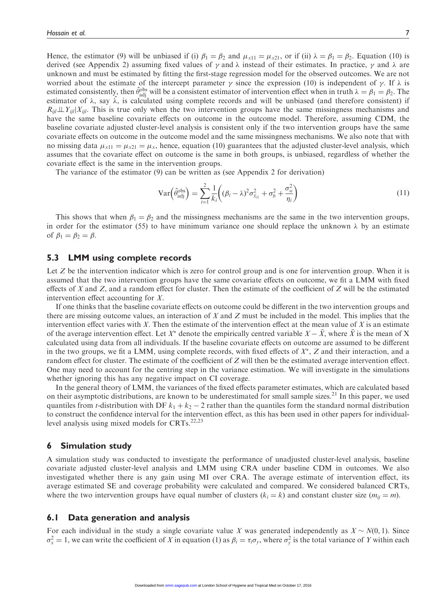Hence, the estimator (9) will be unbiased if (i)  $\beta_1 = \beta_2$  and  $\mu_{x11} = \mu_{x21}$ , or if (ii)  $\lambda = \beta_1 = \beta_2$ . Equation (10) is derived (see Appendix 2) assuming fixed values of  $\gamma$  and  $\lambda$  instead of their estimates. In practice,  $\gamma$  and  $\lambda$  are unknown and must be estimated by fitting the first-stage regression model for the observed outcomes. We are not worried about the estimate of the intercept parameter  $\gamma$  since the expression (10) is independent of  $\gamma$ . If  $\lambda$  is estimated consistently, then  $\hat{\theta}_{\text{adj}}^{\text{obs}}$  will be a consistent estimator of intervention effect when in truth  $\lambda = \beta_1 = \beta_2$ . The estimator of  $\lambda$ , say  $\hat{\lambda}$ , is calculated using complete records and will be unbiased (and therefore consistent) if  $R_{iii} \perp Y_{ii} | X_{ii}$ . This is true only when the two intervention groups have the same missingness mechanisms and have the same baseline covariate effects on outcome in the outcome model. Therefore, assuming CDM, the baseline covariate adjusted cluster-level analysis is consistent only if the two intervention groups have the same covariate effects on outcome in the outcome model and the same missingness mechanisms. We also note that with no missing data  $\mu_{x11} = \mu_{x21} = \mu_x$ , hence, equation (10) guarantees that the adjusted cluster-level analysis, which assumes that the covariate effect on outcome is the same in both groups, is unbiased, regardless of whether the covariate effect is the same in the intervention groups.

The variance of the estimator (9) can be written as (see Appendix 2 for derivation)

$$
Var\left(\hat{\theta}_{adj}^{obs}\right) = \sum_{i=1}^{2} \frac{1}{k_i} \left( (\beta_i - \lambda)^2 \sigma_{\bar{x}_{i1}}^2 + \sigma_b^2 + \frac{\sigma_w^2}{\eta_i} \right)
$$
(11)

This shows that when  $\beta_1 = \beta_2$  and the missingness mechanisms are the same in the two intervention groups, in order for the estimator (55) to have minimum variance one should replace the unknown  $\lambda$  by an estimate of  $\beta_1 = \beta_2 = \beta$ .

#### 5.3 LMM using complete records

Let Z be the intervention indicator which is zero for control group and is one for intervention group. When it is assumed that the two intervention groups have the same covariate effects on outcome, we fit a LMM with fixed effects of X and Z, and a random effect for cluster. Then the estimate of the coefficient of Z will be the estimated intervention effect accounting for X.

If one thinks that the baseline covariate effects on outcome could be different in the two intervention groups and there are missing outcome values, an interaction of  $X$  and  $Z$  must be included in the model. This implies that the intervention effect varies with X. Then the estimate of the intervention effect at the mean value of X is an estimate of the average intervention effect. Let  $X^*$  denote the empirically centred variable  $X - \bar{X}$ , where  $\bar{X}$  is the mean of X calculated using data from all individuals. If the baseline covariate effects on outcome are assumed to be different in the two groups, we fit a LMM, using complete records, with fixed effects of  $X^*$ , Z and their interaction, and a random effect for cluster. The estimate of the coefficient of Z will then be the estimated average intervention effect. One may need to account for the centring step in the variance estimation. We will investigate in the simulations whether ignoring this has any negative impact on CI coverage.

In the general theory of LMM, the variances of the fixed effects parameter estimates, which are calculated based on their asymptotic distributions, are known to be underestimated for small sample sizes.<sup>21</sup> In this paper, we used quantiles from *t*-distribution with DF  $k_1 + k_2 - 2$  rather than the quantiles form the standard normal distribution to construct the confidence interval for the intervention effect, as this has been used in other papers for individuallevel analysis using mixed models for CRTs.<sup>22,23</sup>

#### 6 Simulation study

A simulation study was conducted to investigate the performance of unadjusted cluster-level analysis, baseline covariate adjusted cluster-level analysis and LMM using CRA under baseline CDM in outcomes. We also investigated whether there is any gain using MI over CRA. The average estimate of intervention effect, its average estimated SE and coverage probability were calculated and compared. We considered balanced CRTs, where the two intervention groups have equal number of clusters  $(k_i = k)$  and constant cluster size  $(m_{ij} = m)$ .

#### 6.1 Data generation and analysis

For each individual in the study a single covariate value X was generated independently as  $X \sim N(0, 1)$ . Since  $\sigma_x^2 = 1$ , we can write the coefficient of X in equation (1) as  $\beta_i = \tau_i \sigma_y$ , where  $\sigma_y^2$  is the total variance of Y within each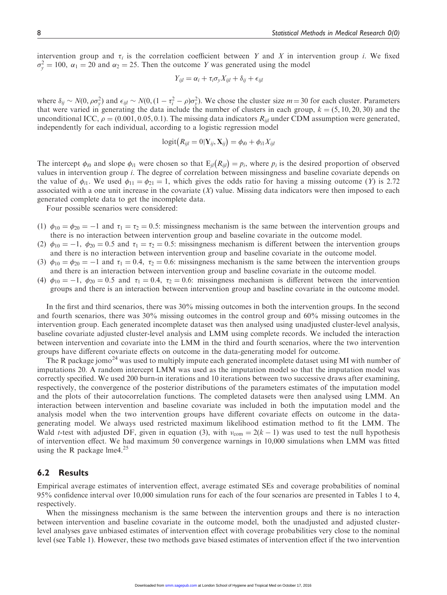intervention group and  $\tau_i$  is the correlation coefficient between Y and X in intervention group i. We fixed  $\sigma_y^2 = 100$ ,  $\alpha_1 = 20$  and  $\alpha_2 = 25$ . Then the outcome Y was generated using the model

$$
Y_{ijl} = \alpha_i + \tau_i \sigma_y X_{ijl} + \delta_{ij} + \epsilon_{ijl}
$$

where  $\delta_{ij} \sim N(0, \rho \sigma_y^2)$  and  $\epsilon_{ijl} \sim N(0, (1 - \tau_i^2 - \rho) \sigma_y^2)$ . We chose the cluster size  $m = 30$  for each cluster. Parameters that were varied in generating the data include the number of clusters in each group,  $k = (5, 10, 20, 30)$  and the unconditional ICC,  $\rho = (0.001, 0.05, 0.1)$ . The missing data indicators  $R_{ijl}$  under CDM assumption were generated, independently for each individual, according to a logistic regression model

$$
logit(R_{ijl}=0|\mathbf{Y}_{ij},\mathbf{X}_{ij})=\phi_{i0}+\phi_{i1}X_{ijl}
$$

The intercept  $\phi_{i0}$  and slope  $\phi_{i1}$  were chosen so that  $E_{jl} (R_{ijl}) = p_i$ , where  $p_i$  is the desired proportion of observed values in intervention group i. The degree of correlation between missingness and baseline covariate depends on the value of  $\phi_{i1}$ . We used  $\phi_{11} = \phi_{21} = 1$ , which gives the odds ratio for having a missing outcome (Y) is 2.72 associated with a one unit increase in the covariate  $(X)$  value. Missing data indicators were then imposed to each generated complete data to get the incomplete data.

Four possible scenarios were considered:

- (1)  $\phi_{10} = \phi_{20} = -1$  and  $\tau_1 = \tau_2 = 0.5$ : missingness mechanism is the same between the intervention groups and there is no interaction between intervention group and baseline covariate in the outcome model.
- (2)  $\phi_{10} = -1$ ,  $\phi_{20} = 0.5$  and  $\tau_1 = \tau_2 = 0.5$ : missingness mechanism is different between the intervention groups and there is no interaction between intervention group and baseline covariate in the outcome model.
- (3)  $\phi_{10} = \phi_{20} = -1$  and  $\tau_1 = 0.4$ ,  $\tau_2 = 0.6$ : missingness mechanism is the same between the intervention groups and there is an interaction between intervention group and baseline covariate in the outcome model.
- (4)  $\phi_{10} = -1$ ,  $\phi_{20} = 0.5$  and  $\tau_1 = 0.4$ ,  $\tau_2 = 0.6$ : missingness mechanism is different between the intervention groups and there is an interaction between intervention group and baseline covariate in the outcome model.

In the first and third scenarios, there was 30% missing outcomes in both the intervention groups. In the second and fourth scenarios, there was 30% missing outcomes in the control group and 60% missing outcomes in the intervention group. Each generated incomplete dataset was then analysed using unadjusted cluster-level analysis, baseline covariate adjusted cluster-level analysis and LMM using complete records. We included the interaction between intervention and covariate into the LMM in the third and fourth scenarios, where the two intervention groups have different covariate effects on outcome in the data-generating model for outcome.

The R package jomo<sup>24</sup> was used to multiply impute each generated incomplete dataset using MI with number of imputations 20. A random intercept LMM was used as the imputation model so that the imputation model was correctly specified. We used 200 burn-in iterations and 10 iterations between two successive draws after examining, respectively, the convergence of the posterior distributions of the parameters estimates of the imputation model and the plots of their autocorrelation functions. The completed datasets were then analysed using LMM. An interaction between intervention and baseline covariate was included in both the imputation model and the analysis model when the two intervention groups have different covariate effects on outcome in the datagenerating model. We always used restricted maximum likelihood estimation method to fit the LMM. The Wald *t*-test with adjusted DF, given in equation (3), with  $v_{com} = 2(k - 1)$  was used to test the null hypothesis of intervention effect. We had maximum 50 convergence warnings in 10,000 simulations when LMM was fitted using the R package lme4. $^{25}$ 

## 6.2 Results

Empirical average estimates of intervention effect, average estimated SEs and coverage probabilities of nominal 95% confidence interval over 10,000 simulation runs for each of the four scenarios are presented in Tables 1 to 4, respectively.

When the missingness mechanism is the same between the intervention groups and there is no interaction between intervention and baseline covariate in the outcome model, both the unadjusted and adjusted clusterlevel analyses gave unbiased estimates of intervention effect with coverage probabilities very close to the nominal level (see Table 1). However, these two methods gave biased estimates of intervention effect if the two intervention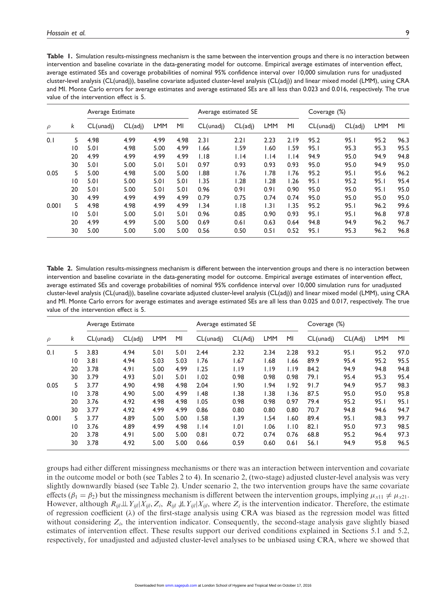|        | average estimated SEs and coverage probabilities of nominal 95% confidence interval over 10,000 simulation runs for unadjusted<br>cluster-level analysis (CL(unadj)), baseline covariate adjusted cluster-level analysis (CL(adj)) and linear mixed model (LMM), using CRA<br>and MI. Monte Carlo errors for average estimates and average estimated SEs are all less than 0.023 and 0.016, respectively. The true<br>value of the intervention effect is 5. |                  |         |            |      |                      |         |            |      |              |         |            |      |
|--------|--------------------------------------------------------------------------------------------------------------------------------------------------------------------------------------------------------------------------------------------------------------------------------------------------------------------------------------------------------------------------------------------------------------------------------------------------------------|------------------|---------|------------|------|----------------------|---------|------------|------|--------------|---------|------------|------|
| $\rho$ | k                                                                                                                                                                                                                                                                                                                                                                                                                                                            | Average Estimate |         |            |      | Average estimated SE |         |            |      | Coverage (%) |         |            |      |
|        |                                                                                                                                                                                                                                                                                                                                                                                                                                                              | CL(unadj)        | CL(adj) | <b>LMM</b> | MI   | CL(unadj)            | CL(adj) | <b>LMM</b> | MI   | CL(unadj)    | CL(adj) | <b>LMM</b> | MI   |
| 0.1    | 5                                                                                                                                                                                                                                                                                                                                                                                                                                                            | 4.98             | 4.99    | 4.99       | 4.98 | 2.31                 | 2.21    | 2.23       | 2.19 | 95.2         | 95.1    | 95.2       | 96.3 |
|        | 10                                                                                                                                                                                                                                                                                                                                                                                                                                                           | 5.01             | 4.98    | 5.00       | 4.99 | 1.66                 | 1.59    | 1.60       | 1.59 | 95.1         | 95.3    | 95.3       | 95.5 |
|        | 20                                                                                                                                                                                                                                                                                                                                                                                                                                                           | 4.99             | 4.99    | 4.99       | 4.99 | 1.18                 | 1.14    | 1.14       | 1.14 | 94.9         | 95.0    | 94.9       | 94.8 |
|        | 30                                                                                                                                                                                                                                                                                                                                                                                                                                                           | 5.01             | 5.00    | 5.01       | 5.01 | 0.97                 | 0.93    | 0.93       | 0.93 | 95.0         | 95.0    | 94.9       | 95.0 |
| 0.05   | 5.                                                                                                                                                                                                                                                                                                                                                                                                                                                           | 5.00             | 4.98    | 5.00       | 5.00 | 1.88                 | 1.76    | 1.78       | 1.76 | 95.2         | 95.1    | 95.6       | 96.2 |
|        | 10                                                                                                                                                                                                                                                                                                                                                                                                                                                           | 5.01             | 5.00    | 5.01       | 5.01 | 1.35                 | I.28    | 1.28       | 1.26 | 95.1         | 95.2    | 95.1       | 95.4 |
|        | 20                                                                                                                                                                                                                                                                                                                                                                                                                                                           | 5.01             | 5.00    | 5.01       | 5.01 | 0.96                 | 0.91    | 0.91       | 0.90 | 95.0         | 95.0    | 95.1       | 95.0 |
|        | 30                                                                                                                                                                                                                                                                                                                                                                                                                                                           | 4.99             | 4.99    | 4.99       | 4.99 | 0.79                 | 0.75    | 0.74       | 0.74 | 95.0         | 95.0    | 95.0       | 95.0 |

0.001 5 4.98 4.98 4.99 4.99 1.34 1.18 1.31 1.35 95.2 95.1 96.2 99.6 10 5.01 5.00 5.01 5.01 0.96 0.85 0.90 0.93 95.1 95.1 96.8 97.8 20 4.99 4.99 5.00 5.00 0.69 0.61 0.63 0.64 94.8 94.9 96.2 96.7 30 5.00 5.00 5.00 5.00 0.56 0.50 0.51 0.52 95.1 95.3 96.2 96.8

Table 1. Simulation results-missingness mechanism is the same between the intervention groups and there is no interaction between intervention and baseline covariate in the data-generating model for outcome. Empirical average estimates of intervention effect, average estimated SEs and coverage probabilities of nominal 95% confidence interval over 10,000 simulation runs for unadjusted

Table 2. Simulation results-missingness mechanism is different between the intervention groups and there is no interaction between intervention and baseline covariate in the data-generating model for outcome. Empirical average estimates of intervention effect, average estimated SEs and coverage probabilities of nominal 95% confidence interval over 10,000 simulation runs for unadjusted cluster-level analysis (CL(unadj)), baseline covariate adjusted cluster-level analysis (CL(adj)) and linear mixed model (LMM), using CRA and MI. Monte Carlo errors for average estimates and average estimated SEs are all less than 0.025 and 0.017, respectively. The true value of the intervention effect is 5.

| $\rho$ | k  | Average Estimate |         |            |      | Average estimated SE |         |            |      | Coverage (%) |         |            |      |
|--------|----|------------------|---------|------------|------|----------------------|---------|------------|------|--------------|---------|------------|------|
|        |    | CL(unadj)        | CL(adj) | <b>LMM</b> | MI   | CL(unadj)            | CL(Adj) | <b>LMM</b> | MI   | CL(unadi)    | CL(Adj) | <b>LMM</b> | MI   |
| 0.1    | 5  | 3.83             | 4.94    | 5.01       | 5.01 | 2.44                 | 2.32    | 2.34       | 2.28 | 93.2         | 95.1    | 95.2       | 97.0 |
|        | 10 | 3.81             | 4.94    | 5.03       | 5.03 | 1.76                 | 67. ا   | 1.68       | 1.66 | 89.9         | 95.4    | 95.2       | 95.5 |
|        | 20 | 3.78             | 4.91    | 5.00       | 4.99 | 1.25                 | I.I9    | 1.19       | 1.19 | 84.2         | 94.9    | 94.8       | 94.8 |
|        | 30 | 3.79             | 4.93    | 5.01       | 5.01 | 1.02                 | 0.98    | 0.98       | 0.98 | 79.I         | 95.4    | 95.3       | 95.4 |
| 0.05   | 5  | 3.77             | 4.90    | 4.98       | 4.98 | 2.04                 | 90.ا    | l.94       | 1.92 | 91.7         | 94.9    | 95.7       | 98.3 |
|        | 10 | 3.78             | 4.90    | 5.00       | 4.99 | 1.48                 | I.38    | l.38       | 1.36 | 87.5         | 95.0    | 95.0       | 95.8 |
|        | 20 | 3.76             | 4.92    | 4.98       | 4.98 | 1.05                 | 0.98    | 0.98       | 0.97 | 79.4         | 95.2    | 95.1       | 95.1 |
|        | 30 | 3.77             | 4.92    | 4.99       | 4.99 | 0.86                 | 0.80    | 0.80       | 0.80 | 70.7         | 94.8    | 94.6       | 94.7 |
| 0.001  | 5  | 3.77             | 4.89    | 5.00       | 5.00 | 1.58                 | l.39    | 1.54       | 1.60 | 89.4         | 95.1    | 98.3       | 99.7 |
|        | 10 | 3.76             | 4.89    | 4.99       | 4.98 | 1.14                 | 1.01    | 06. ا      | 1.10 | 82.1         | 95.0    | 97.3       | 98.5 |
|        | 20 | 3.78             | 4.91    | 5.00       | 5.00 | 0.81                 | 0.72    | 0.74       | 0.76 | 68.8         | 95.2    | 96.4       | 97.3 |
|        | 30 | 3.78             | 4.92    | 5.00       | 5.00 | 0.66                 | 0.59    | 0.60       | 0.61 | 56.1         | 94.9    | 95.8       | 96.5 |

groups had either different missingness mechanisms or there was an interaction between intervention and covariate in the outcome model or both (see Tables 2 to 4). In scenario 2, (two-stage) adjusted cluster-level analysis was very slightly downwardly biased (see Table 2). Under scenario 2, the two intervention groups have the same covariate effects  $(\beta_1 = \beta_2)$  but the missingness mechanism is different between the intervention groups, implying  $\mu_{x11} \neq \mu_{x21}$ . However, although  $R_{ijl} \perp Y_{ijl} | X_{ijl}, Z_i, R_{ijl} \perp Y_{ijl} | X_{ijl},$  where  $Z_i$  is the intervention indicator. Therefore, the estimate of regression coefficient  $(\lambda)$  of the first-stage analysis using CRA was biased as the regression model was fitted without considering  $Z_i$ , the intervention indicator. Consequently, the second-stage analysis gave slightly biased estimates of intervention effect. These results support our derived conditions explained in Sections 5.1 and 5.2, respectively, for unadjusted and adjusted cluster-level analyses to be unbiased using CRA, where we showed that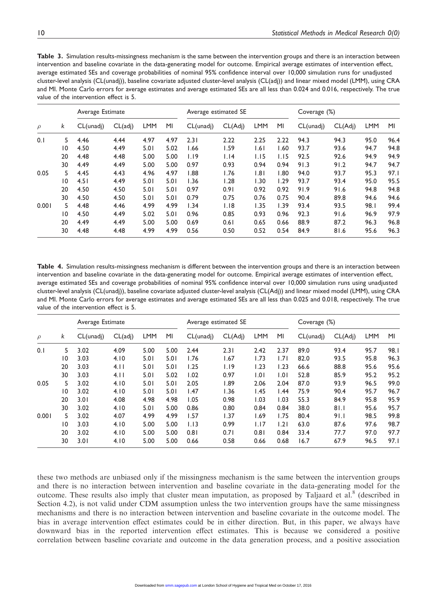Table 3. Simulation results-missingness mechanism is the same between the intervention groups and there is an interaction between intervention and baseline covariate in the data-generating model for outcome. Empirical average estimates of intervention effect, average estimated SEs and coverage probabilities of nominal 95% confidence interval over 10,000 simulation runs for unadjusted cluster-level analysis (CL(unadj)), baseline covariate adjusted cluster-level analysis (CL(adj)) and linear mixed model (LMM), using CRA and MI. Monte Carlo errors for average estimates and average estimated SEs are all less than 0.024 and 0.016, respectively. The true value of the intervention effect is 5.

| $\rho$ | k               | Average Estimate |         |            |      | Average estimated SE |         |            |      | Coverage (%) |         |            |      |
|--------|-----------------|------------------|---------|------------|------|----------------------|---------|------------|------|--------------|---------|------------|------|
|        |                 | CL(unadj)        | CL(adj) | <b>LMM</b> | MI   | CL(unadi)            | CL(Adj) | <b>LMM</b> | MI   | CL(unadi)    | CL(Adj) | <b>LMM</b> | MI   |
| 0.1    | 5               | 4.46             | 4.44    | 4.97       | 4.97 | 2.31                 | 2.22    | 2.25       | 2.22 | 94.3         | 94.3    | 95.0       | 96.4 |
|        | 10              | 4.50             | 4.49    | 5.01       | 5.02 | 1.66                 | 1.59    | 1.61       | 1.60 | 93.7         | 93.6    | 94.7       | 94.8 |
|        | 20              | 4.48             | 4.48    | 5.00       | 5.00 | 1.19                 | 1.14    | 1.15       | 1.15 | 92.5         | 92.6    | 94.9       | 94.9 |
|        | 30              | 4.49             | 4.49    | 5.00       | 5.00 | 0.97                 | 0.93    | 0.94       | 0.94 | 91.3         | 91.2    | 94.7       | 94.7 |
| 0.05   | 5               | 4.45             | 4.43    | 4.96       | 4.97 | 1.88                 | 1.76    | .8         | 1.80 | 94.0         | 93.7    | 95.3       | 97.I |
|        | $\overline{10}$ | 4.51             | 4.49    | 5.01       | 5.01 | 1.36                 | 1.28    | 1.30       | 1.29 | 93.7         | 93.4    | 95.0       | 95.5 |
|        | 20              | 4.50             | 4.50    | 5.01       | 5.01 | 0.97                 | 0.91    | 0.92       | 0.92 | 91.9         | 91.6    | 94.8       | 94.8 |
|        | 30              | 4.50             | 4.50    | 5.01       | 5.01 | 0.79                 | 0.75    | 0.76       | 0.75 | 90.4         | 89.8    | 94.6       | 94.6 |
| 0.001  | 5               | 4.48             | 4.46    | 4.99       | 4.99 | 1.34                 | 1.18    | 1.35       | 1.39 | 93.4         | 93.5    | 98.I       | 99.4 |
|        | 10              | 4.50             | 4.49    | 5.02       | 5.01 | 0.96                 | 0.85    | 0.93       | 0.96 | 92.3         | 91.6    | 96.9       | 97.9 |
|        | 20              | 4.49             | 4.49    | 5.00       | 5.00 | 0.69                 | 0.61    | 0.65       | 0.66 | 88.9         | 87.2    | 96.3       | 96.8 |
|        | 30              | 4.48             | 4.48    | 4.99       | 4.99 | 0.56                 | 0.50    | 0.52       | 0.54 | 84.9         | 81.6    | 95.6       | 96.3 |

Table 4. Simulation results-missingness mechanism is different between the intervention groups and there is an interaction between intervention and baseline covariate in the data-generating model for outcome. Empirical average estimates of intervention effect, average estimated SEs and coverage probabilities of nominal 95% confidence interval over 10,000 simulation runs using unadjusted cluster-level analysis (CL(unadj)), baseline covariate adjusted cluster-level analysis (CL(Adj)) and linear mixed model (LMM), using CRA and MI. Monte Carlo errors for average estimates and average estimated SEs are all less than 0.025 and 0.018, respectively. The true value of the intervention effect is 5.

|        | k  | Average Estimate |         |            |      | Average estimated SE |         |            |      | Coverage (%) |         |            |      |
|--------|----|------------------|---------|------------|------|----------------------|---------|------------|------|--------------|---------|------------|------|
| $\rho$ |    | $CL$ (unadj)     | CL(adj) | <b>LMM</b> | MI   | CL(unadj)            | CL(Adj) | <b>LMM</b> | MI   | $CL$ (unadj) | CL(Adj) | <b>LMM</b> | MI   |
| 0.1    | 5  | 3.02             | 4.09    | 5.00       | 5.00 | 2.44                 | 2.31    | 2.42       | 2.37 | 89.0         | 93.4    | 95.7       | 98.I |
|        | 10 | 3.03             | 4.10    | 5.01       | 5.01 | 1.76                 | 1.67    | 1.73       | 1.71 | 82.0         | 93.5    | 95.8       | 96.3 |
|        | 20 | 3.03             | 4.11    | 5.01       | 5.01 | 1.25                 | 1.19    | 1.23       | 1.23 | 66.6         | 88.8    | 95.6       | 95.6 |
|        | 30 | 3.03             | 4.11    | 5.01       | 5.02 | 1.02                 | 0.97    | 1.01       | 1.01 | 52.8         | 85.9    | 95.2       | 95.2 |
| 0.05   | 5  | 3.02             | 4.10    | 5.01       | 5.01 | 2.05                 | 1.89    | 2.06       | 2.04 | 87.0         | 93.9    | 96.5       | 99.0 |
|        | 10 | 3.02             | 4.10    | 5.01       | 5.01 | 1.47                 | 1.36    | 1.45       | 1.44 | 75.9         | 90.4    | 95.7       | 96.7 |
|        | 20 | 3.01             | 4.08    | 4.98       | 4.98 | 1.05                 | 0.98    | 1.03       | 1.03 | 55.3         | 84.9    | 95.8       | 95.9 |
|        | 30 | 3.02             | 4.10    | 5.01       | 5.00 | 0.86                 | 0.80    | 0.84       | 0.84 | 38.0         | 81.1    | 95.6       | 95.7 |
| 0.001  | 5  | 3.02             | 4.07    | 4.99       | 4.99 | 1.57                 | 1.37    | 1.69       | 1.75 | 80.4         | 91.1    | 98.5       | 99.8 |
|        | 10 | 3.03             | 4.10    | 5.00       | 5.00 | 1.13                 | 0.99    | 1.17       | 1.21 | 63.0         | 87.6    | 97.6       | 98.7 |
|        | 20 | 3.02             | 4.10    | 5.00       | 5.00 | 0.81                 | 0.71    | 0.81       | 0.84 | 33.4         | 77.7    | 97.0       | 97.7 |
|        | 30 | 3.01             | 4.10    | 5.00       | 5.00 | 0.66                 | 0.58    | 0.66       | 0.68 | 16.7         | 67.9    | 96.5       | 97.1 |

these two methods are unbiased only if the missingness mechanism is the same between the intervention groups and there is no interaction between intervention and baseline covariate in the data-generating model for the outcome. These results also imply that cluster mean imputation, as proposed by Taljaard et al.<sup>8</sup> (described in Section 4.2), is not valid under CDM assumption unless the two intervention groups have the same missingness mechanisms and there is no interaction between intervention and baseline covariate in the outcome model. The bias in average intervention effect estimates could be in either direction. But, in this paper, we always have downward bias in the reported intervention effect estimates. This is because we considered a positive correlation between baseline covariate and outcome in the data generation process, and a positive association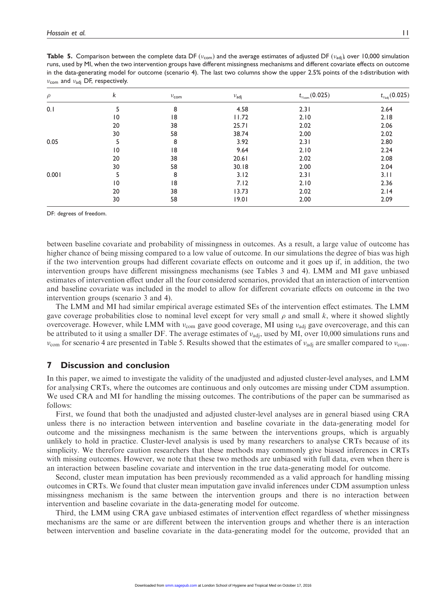| $v_{\text{com}}$ and $v_{\text{adj}}$ DF, respectively. |                |               |                  |                          |                          |  |  |  |  |  |  |
|---------------------------------------------------------|----------------|---------------|------------------|--------------------------|--------------------------|--|--|--|--|--|--|
| $\rho$                                                  | k              | $v_{\rm com}$ | $v_{\text{adj}}$ | $t_{v_{\rm com}}(0.025)$ | $t_{v_{\rm adj}}(0.025)$ |  |  |  |  |  |  |
| 0.1                                                     | 5              | 8             | 4.58             | 2.31                     | 2.64                     |  |  |  |  |  |  |
|                                                         | 10             | 18            | 11.72            | 2.10                     | 2.18                     |  |  |  |  |  |  |
|                                                         | 20             | 38            | 25.71            | 2.02                     | 2.06                     |  |  |  |  |  |  |
|                                                         | 30             | 58            | 38.74            | 2.00                     | 2.02                     |  |  |  |  |  |  |
| 0.05                                                    | 5              | 8             | 3.92             | 2.31                     | 2.80                     |  |  |  |  |  |  |
|                                                         | 0              | 18            | 9.64             | 2.10                     | 2.24                     |  |  |  |  |  |  |
|                                                         | 20             | 38            | 20.61            | 2.02                     | 2.08                     |  |  |  |  |  |  |
|                                                         | 30             | 58            | 30.18            | 2.00                     | 2.04                     |  |  |  |  |  |  |
| 0.001                                                   | 5              | 8             | 3.12             | 2.31                     | 3.11                     |  |  |  |  |  |  |
|                                                         | $\overline{0}$ | 18            | 7.12             | 2.10                     | 2.36                     |  |  |  |  |  |  |
|                                                         | 20             | 38            | 13.73            | 2.02                     | 2.14                     |  |  |  |  |  |  |
|                                                         | 30             | 58            | 19.01            | 2.00                     | 2.09                     |  |  |  |  |  |  |

DF: degrees of freedom.

between baseline covariate and probability of missingness in outcomes. As a result, a large value of outcome has higher chance of being missing compared to a low value of outcome. In our simulations the degree of bias was high if the two intervention groups had different covariate effects on outcome and it goes up if, in addition, the two intervention groups have different missingness mechanisms (see Tables 3 and 4). LMM and MI gave unbiased estimates of intervention effect under all the four considered scenarios, provided that an interaction of intervention and baseline covariate was included in the model to allow for different covariate effects on outcome in the two intervention groups (scenario 3 and 4).

The LMM and MI had similar empirical average estimated SEs of the intervention effect estimates. The LMM gave coverage probabilities close to nominal level except for very small  $\rho$  and small k, where it showed slightly overcoverage. However, while LMM with  $v_{\rm com}$  gave good coverage, MI using  $v_{\rm adj}$  gave overcoverage, and this can be attributed to it using a smaller DF. The average estimates of  $v_{\text{adj}}$ , used by MI, over 10,000 simulations runs and  $v_{\rm com}$  for scenario 4 are presented in Table 5. Results showed that the estimates of  $v_{\rm adj}$  are smaller compared to  $v_{\rm com}$ .

## 7 Discussion and conclusion

In this paper, we aimed to investigate the validity of the unadjusted and adjusted cluster-level analyses, and LMM for analysing CRTs, where the outcomes are continuous and only outcomes are missing under CDM assumption. We used CRA and MI for handling the missing outcomes. The contributions of the paper can be summarised as follows:

First, we found that both the unadjusted and adjusted cluster-level analyses are in general biased using CRA unless there is no interaction between intervention and baseline covariate in the data-generating model for outcome and the missingness mechanism is the same between the interventions groups, which is arguably unlikely to hold in practice. Cluster-level analysis is used by many researchers to analyse CRTs because of its simplicity. We therefore caution researchers that these methods may commonly give biased inferences in CRTs with missing outcomes. However, we note that these two methods are unbiased with full data, even when there is an interaction between baseline covariate and intervention in the true data-generating model for outcome.

Second, cluster mean imputation has been previously recommended as a valid approach for handling missing outcomes in CRTs. We found that cluster mean imputation gave invalid inferences under CDM assumption unless missingness mechanism is the same between the intervention groups and there is no interaction between intervention and baseline covariate in the data-generating model for outcome.

Third, the LMM using CRA gave unbiased estimates of intervention effect regardless of whether missingness mechanisms are the same or are different between the intervention groups and whether there is an interaction between intervention and baseline covariate in the data-generating model for the outcome, provided that an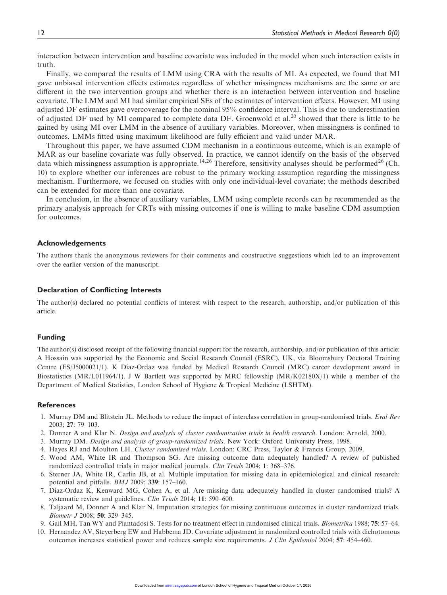interaction between intervention and baseline covariate was included in the model when such interaction exists in truth.

Finally, we compared the results of LMM using CRA with the results of MI. As expected, we found that MI gave unbiased intervention effects estimates regardless of whether missingness mechanisms are the same or are different in the two intervention groups and whether there is an interaction between intervention and baseline covariate. The LMM and MI had similar empirical SEs of the estimates of intervention effects. However, MI using adjusted DF estimates gave overcoverage for the nominal 95% confidence interval. This is due to underestimation of adjusted DF used by MI compared to complete data DF. Groenwold et al.<sup>20</sup> showed that there is little to be gained by using MI over LMM in the absence of auxiliary variables. Moreover, when missingness is confined to outcomes, LMMs fitted using maximum likelihood are fully efficient and valid under MAR.

Throughout this paper, we have assumed CDM mechanism in a continuous outcome, which is an example of MAR as our baseline covariate was fully observed. In practice, we cannot identify on the basis of the observed data which missingness assumption is appropriate.<sup>14,26</sup> Therefore, sensitivity analyses should be performed<sup>26</sup> (Ch. 10) to explore whether our inferences are robust to the primary working assumption regarding the missingness mechanism. Furthermore, we focused on studies with only one individual-level covariate; the methods described can be extended for more than one covariate.

In conclusion, in the absence of auxiliary variables, LMM using complete records can be recommended as the primary analysis approach for CRTs with missing outcomes if one is willing to make baseline CDM assumption for outcomes.

#### Acknowledgements

The authors thank the anonymous reviewers for their comments and constructive suggestions which led to an improvement over the earlier version of the manuscript.

#### Declaration of Conflicting Interests

The author(s) declared no potential conflicts of interest with respect to the research, authorship, and/or publication of this article.

#### Funding

The author(s) disclosed receipt of the following financial support for the research, authorship, and/or publication of this article: A Hossain was supported by the Economic and Social Research Council (ESRC), UK, via Bloomsbury Doctoral Training Centre (ES/J5000021/1). K Diaz-Ordaz was funded by Medical Research Council (MRC) career development award in Biostatistics (MR/L011964/1). J W Bartlett was supported by MRC fellowship (MR/K02180X/1) while a member of the Department of Medical Statistics, London School of Hygiene & Tropical Medicine (LSHTM).

#### **References**

- 1. Murray DM and Blitstein JL. Methods to reduce the impact of interclass correlation in group-randomised trials. Eval Rev 2003; 27: 79–103.
- 2. Donner A and Klar N. Design and analysis of cluster randomization trials in health research. London: Arnold, 2000.
- 3. Murray DM. Design and analysis of group-randomized trials. New York: Oxford University Press, 1998.
- 4. Hayes RJ and Moulton LH. Cluster randomised trials. London: CRC Press, Taylor & Francis Group, 2009.
- 5. Wood AM, White IR and Thompson SG. Are missing outcome data adequately handled? A review of published randomized controlled trials in major medical journals. Clin Trials 2004; 1: 368–376.
- 6. Sterner JA, White IR, Carlin JB, et al. Multiple imputation for missing data in epidemiological and clinical research: potential and pitfalls. BMJ 2009; 339: 157–160.
- 7. Diaz-Ordaz K, Kenward MG, Cohen A, et al. Are missing data adequately handled in cluster randomised trials? A systematic review and guidelines. Clin Trials 2014; 11: 590–600.
- 8. Taljaard M, Donner A and Klar N. Imputation strategies for missing continuous outcomes in cluster randomized trials. Biometr J 2008; 50: 329–345.
- 9. Gail MH, Tan WY and Piantadosi S. Tests for no treatment effect in randomised clinical trials. Biometrika 1988; 75: 57–64.
- 10. Hernandez AV, Steyerberg EW and Habbema JD. Covariate adjustment in randomized controlled trials with dichotomous outcomes increases statistical power and reduces sample size requirements. J Clin Epidemiol 2004; 57: 454–460.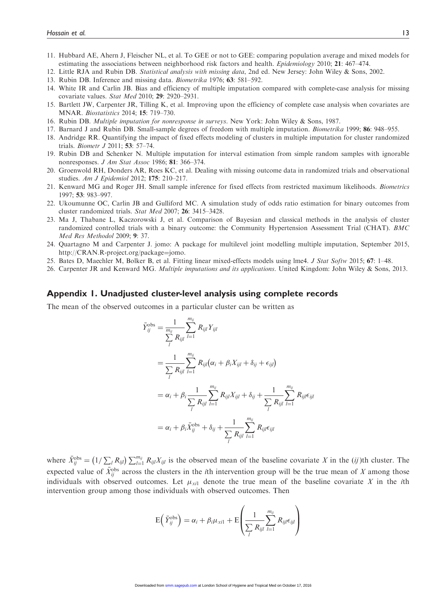- 11. Hubbard AE, Ahern J, Fleischer NL, et al. To GEE or not to GEE: comparing population average and mixed models for estimating the associations between neighborhood risk factors and health. *Epidemiology* 2010; 21: 467–474.
- 12. Little RJA and Rubin DB. Statistical analysis with missing data, 2nd ed. New Jersey: John Wiley & Sons, 2002.
- 13. Rubin DB. Inference and missing data. Biometrika 1976; 63: 581–592.
- 14. White IR and Carlin JB. Bias and efficiency of multiple imputation compared with complete-case analysis for missing covariate values. Stat Med 2010; 29: 2920–2931.
- 15. Bartlett JW, Carpenter JR, Tilling K, et al. Improving upon the efficiency of complete case analysis when covariates are MNAR. Biostatistics 2014; 15: 719–730.
- 16. Rubin DB. Multiple imputation for nonresponse in surveys. New York: John Wiley & Sons, 1987.
- 17. Barnard J and Rubin DB. Small-sample degrees of freedom with multiple imputation. Biometrika 1999; 86: 948–955.
- 18. Andridge RR. Quantifying the impact of fixed effects modeling of clusters in multiple imputation for cluster randomized trials. Biometr J 2011; 53: 57–74.
- 19. Rubin DB and Schenker N. Multiple imputation for interval estimation from simple random samples with ignorable nonresponses. J Am Stat Assoc 1986; 81: 366–374.
- 20. Groenwold RH, Donders AR, Roes KC, et al. Dealing with missing outcome data in randomized trials and observational studies. Am J Epidemiol 2012; 175: 210–217.
- 21. Kenward MG and Roger JH. Small sample inference for fixed effects from restricted maximum likelihoods. Biometrics 1997; 53: 983–997.
- 22. Ukoumunne OC, Carlin JB and Gulliford MC. A simulation study of odds ratio estimation for binary outcomes from cluster randomized trials. Stat Med 2007; 26: 3415–3428.
- 23. Ma J, Thabane L, Kaczorowski J, et al. Comparison of Bayesian and classical methods in the analysis of cluster randomized controlled trials with a binary outcome: the Community Hypertension Assessment Trial (CHAT). BMC Med Res Methodol 2009; 9: 37.
- 24. Quartagno M and Carpenter J. jomo: A package for multilevel joint modelling multiple imputation, September 2015, [http://CRAN.R-project.org/package](http://CRAN.R-project.org/package=jomo)=[jomo](http://CRAN.R-project.org/package=jomo).
- 25. Bates D, Maechler M, Bolker B, et al. Fitting linear mixed-effects models using lme4. J Stat Softw 2015; 67: 1–48.
- 26. Carpenter JR and Kenward MG. Multiple imputations and its applications. United Kingdom: John Wiley & Sons, 2013.

#### Appendix 1. Unadjusted cluster-level analysis using complete records

The mean of the observed outcomes in a particular cluster can be written as

$$
\begin{split} \bar{Y}_{ij}^{\text{obs}} &= \frac{1}{m_{ij}} \sum_{l}^{m_{ij}} R_{ijl} Y_{ijl} \\ &= \frac{1}{\sum_{l} R_{ijl}} \sum_{l=1}^{m_{ij}} R_{ijl} (\alpha_i + \beta_i X_{ijl} + \delta_{ij} + \epsilon_{ijl}) \\ &= \alpha_i + \beta_i \frac{1}{\sum_{l} R_{ijl}} \sum_{l=1}^{m_{ij}} R_{ijl} X_{ijl} + \delta_{ij} + \frac{1}{\sum_{l} R_{ijl}} \sum_{l=1}^{m_{ij}} R_{ijl} \epsilon_{ijl} \\ &= \alpha_i + \beta_i \bar{X}_{ij}^{\text{obs}} + \delta_{ij} + \frac{1}{\sum_{l} R_{ijl}} \sum_{l=1}^{m_{ij}} R_{ijl} \epsilon_{ijl} \end{split}
$$

where  $\bar{X}_{ij}^{\text{obs}} = (1/\sum_{l} R_{ijl}) \sum_{l=1}^{m_{ij}} R_{ijl} X_{ijl}$  is the observed mean of the baseline covariate X in the  $(ij)$ th cluster. The expected value of  $\bar{X}_{ij}^{\text{obs}}$  across the clusters in the *i*th intervention group will be the true mean of X among those individuals with observed outcomes. Let  $\mu_{xil}$  denote the true mean of the baseline covariate X in the *i*th intervention group among those individuals with observed outcomes. Then

$$
E\left(\bar{Y}_{ij}^{obs}\right) = \alpha_i + \beta_i \mu_{xil} + E\left(\frac{1}{\sum_{l} R_{ijl}} \sum_{l=1}^{m_{ij}} R_{ijl} \epsilon_{ijl}\right)
$$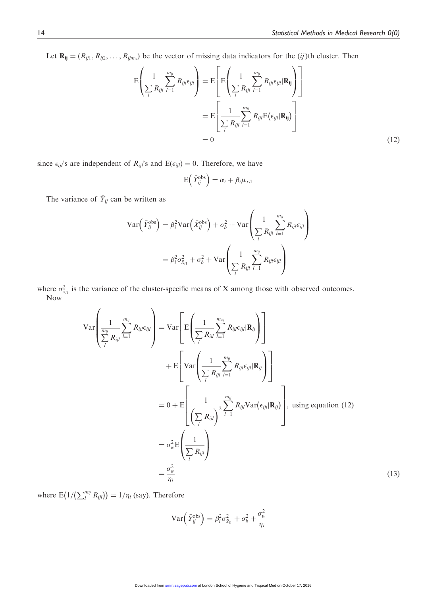$(13)$ 

Let  $\mathbf{R}_{ij} = (R_{ij1}, R_{ij2}, \dots, R_{ijm_{ij}})$  be the vector of missing data indicators for the  $(ij)$ th cluster. Then

$$
E\left(\frac{1}{\sum_{i} R_{ijl}} \sum_{l=1}^{m_{ij}} R_{ijl} \epsilon_{ijl}\right) = E\left[E\left(\frac{1}{\sum_{i} R_{ijl}} \sum_{l=1}^{m_{ij}} R_{ijl} \epsilon_{ijl} | \mathbf{R}_{ij}\right)\right]
$$

$$
= E\left[\frac{1}{\sum_{i} R_{ijl}} \sum_{l=1}^{m_{ij}} R_{ijl} E(\epsilon_{ijl} | \mathbf{R}_{ij})\right]
$$

$$
= 0
$$
(12)

since  $\epsilon_{ij}$ 's are independent of  $R_{ij}$ 's and  $E(\epsilon_{ijl}) = 0$ . Therefore, we have

$$
E(\bar{Y}_{ij}^{obs}) = \alpha_i + \beta_i \mu_{xil}
$$

The variance of  $\bar{Y}_{ij}$  can be written as

$$
\operatorname{Var}\left(\bar{Y}_{ij}^{\text{obs}}\right) = \beta_i^2 \operatorname{Var}\left(\bar{X}_{ij}^{\text{obs}}\right) + \sigma_b^2 + \operatorname{Var}\left(\frac{1}{\sum_l R_{ijl}} \sum_{l=1}^{m_{ij}} R_{ijl} \epsilon_{ijl}\right)
$$

$$
= \beta_i^2 \sigma_{\bar{x}_{i1}}^2 + \sigma_b^2 + \operatorname{Var}\left(\frac{1}{\sum_l R_{ijl}} \sum_{l=1}^{m_{ij}} R_{ijl} \epsilon_{ijl}\right)
$$

where  $\sigma_{\bar{x}_i}^2$  is the variance of the cluster-specific means of X among those with observed outcomes. Now

$$
\operatorname{Var}\left(\frac{1}{\sum_{i}^{m_{ij}}} \sum_{j}^{m_{ij}} R_{ijl} \epsilon_{ijl}\right) = \operatorname{Var}\left[\operatorname{E}\left(\frac{1}{\sum_{i}^{m_{ij}}} \sum_{l=1}^{m_{ij}} R_{ijl} \epsilon_{ijl} | \mathbf{R}_{ij}\right)\right]
$$

$$
+ \operatorname{E}\left[\operatorname{Var}\left(\frac{1}{\sum_{i}^{m_{ij}}} \sum_{l=1}^{m_{ij}} R_{ijl} \epsilon_{ijl} | \mathbf{R}_{ij}\right)\right]
$$

$$
= 0 + \operatorname{E}\left[\frac{1}{\left(\sum_{i}^{m_{ij}} R_{ijl}\right)^2} \sum_{l=1}^{m_{ij}} R_{ijl} \operatorname{Var}\left(\epsilon_{ijl} | \mathbf{R}_{ij}\right)\right], \text{ using equation (12)}
$$

$$
= \sigma_w^2 \operatorname{E}\left(\frac{1}{\sum_{i}^{m_{ij}}} \right)
$$

$$
= \frac{\sigma_w^2}{\eta_i}
$$

where  $E\left(\frac{1}{\sum_{l}^{m_{ij}} R_{ijl}}\right) = \frac{1}{\eta_i}$  (say). Therefore

$$
Var\left(\bar{Y}_{ij}^{obs}\right) = \beta_i^2 \sigma_{\bar{x}_{i1}}^2 + \sigma_b^2 + \frac{\sigma_w^2}{\eta_i}
$$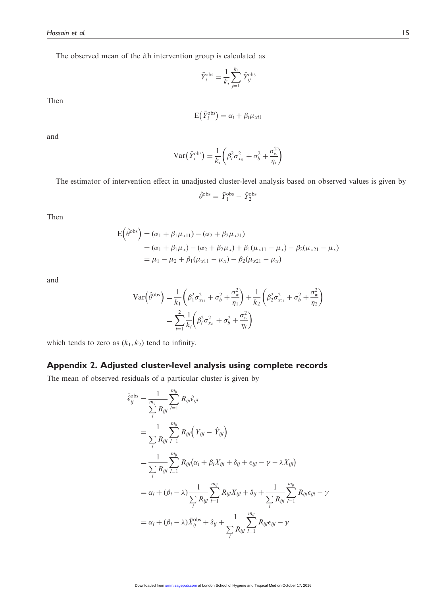The observed mean of the ith intervention group is calculated as

$$
\bar{Y}_i^{\text{obs}} = \frac{1}{k_i} \sum_{j=1}^{k_i} \bar{Y}_{ij}^{\text{obs}}
$$

Then

$$
E(\bar{Y}_i^{\text{obs}}) = \alpha_i + \beta_i \mu_{x_i}
$$

and

$$
Var(\bar{Y}_i^{obs}) = \frac{1}{k_i} \left( \beta_i^2 \sigma_{\bar{x}_{i1}}^2 + \sigma_b^2 + \frac{\sigma_w^2}{\eta_i} \right)
$$

The estimator of intervention effect in unadjusted cluster-level analysis based on observed values is given by

$$
\hat{\theta}^{\text{obs}} = \bar{Y}_1^{\text{obs}} - \bar{Y}_2^{\text{obs}}
$$

Then

$$
E(\hat{\theta}^{\text{obs}}) = (\alpha_1 + \beta_1 \mu_{x11}) - (\alpha_2 + \beta_2 \mu_{x21})
$$
  
= (\alpha\_1 + \beta\_1 \mu\_x) - (\alpha\_2 + \beta\_2 \mu\_x) + \beta\_1 (\mu\_{x11} - \mu\_x) - \beta\_2 (\mu\_{x21} - \mu\_x)  
= \mu\_1 - \mu\_2 + \beta\_1 (\mu\_{x11} - \mu\_x) - \beta\_2 (\mu\_{x21} - \mu\_x)

and

$$
\begin{split} \text{Var}\Big( \hat{\theta}^{\text{obs}} \Big) &= \frac{1}{k_1} \left( \beta_1^2 \sigma_{\bar{x}_{11}}^2 + \sigma_b^2 + \frac{\sigma_w^2}{\eta_1} \right) + \frac{1}{k_2} \left( \beta_2^2 \sigma_{\bar{x}_{21}}^2 + \sigma_b^2 + \frac{\sigma_w^2}{\eta_2} \right) \\ &= \sum_{i=1}^2 \frac{1}{k_i} \left( \beta_i^2 \sigma_{\bar{x}_{i1}}^2 + \sigma_b^2 + \frac{\sigma_w^2}{\eta_i} \right) \end{split}
$$

which tends to zero as  $(k_1, k_2)$  tend to infinity.

# Appendix 2. Adjusted cluster-level analysis using complete records

The mean of observed residuals of a particular cluster is given by

$$
\begin{split}\n\bar{\epsilon}_{ij}^{\text{obs}} &= \frac{1}{m_{ij}} \sum_{l}^{m_{ij}} R_{ijl} \hat{\epsilon}_{ijl} \\
&= \frac{1}{\sum_{l} R_{ijl}} \sum_{l=1}^{m_{ij}} R_{ijl} \Big( Y_{ijl} - \hat{Y}_{ijl} \Big) \\
&= \frac{1}{\sum_{l} R_{ijl}} \sum_{l=1}^{m_{ij}} R_{ijl} (\alpha_i + \beta_i X_{ijl} + \delta_{ij} + \epsilon_{ijl} - \gamma - \lambda X_{ijl}) \\
&= \alpha_i + (\beta_i - \lambda) \frac{1}{\sum_{l} R_{ijl}} \sum_{l=1}^{m_{ij}} R_{ijl} X_{ijl} + \delta_{ij} + \frac{1}{\sum_{l} R_{ijl}} \sum_{l=1}^{m_{ij}} R_{ijl} \epsilon_{ijl} - \gamma \\
&= \alpha_i + (\beta_i - \lambda) \bar{X}_{ij}^{\text{obs}} + \delta_{ij} + \frac{1}{\sum_{l} R_{ijl}} \sum_{l=1}^{m_{ij}} R_{ijl} \epsilon_{ijl} - \gamma\n\end{split}
$$